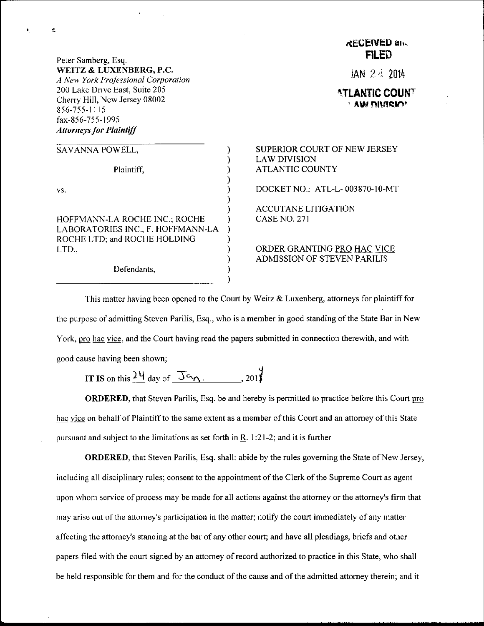Peter Samberg, Esq. WEITZ & LUXENBERG, P.C. A Nev, York Professional Corporation 200 Lake Drive East, Suite 205 Cherry Hill, New Jersey 08002 856-755-1115 fax-856-755-1995 Attomeys for Plaintiff

¢,

| SAVANNA POWELL,                                                                                            |  |
|------------------------------------------------------------------------------------------------------------|--|
| Plaintiff,                                                                                                 |  |
| VS.                                                                                                        |  |
| HOFFMANN-LA ROCHE INC.; ROCHE<br>LABORATORIES INC., F. HOFFMANN-LA<br>ROCHE LTD; and ROCHE HOLDING<br>LTD. |  |
| Defendants,                                                                                                |  |

Defendants,

## RECEIVED and FILED

 $JAN$   $24$  2014

**ATLANTIC COUNT** ', AwnnrisrnP

SUPERIOR COURT OF NEW JERSEY LAWDIVISION **ATLANTIC COUNTY** DOCKET NO.: ATL-L- 003870-10-MT ACCUTANE LITIGATION **CASE NO. 271** 

ORDER GRANTING PRO HAC VICE ADMISSION OF STEVEN PARILIS

This matter having been opened to the Court by Weitz & Luxenberg, attorneys for plaintiff for the purpose of admitting Steven Parilis, Esq., who is a member in good standing ofthe State Bar in New York, pro hac vice, and the Court having read the papers submitted in connection therewith, and with good cause having been shown;

 $\mathcal{E}$ 

IT IS on this  $\frac{24}{10}$  day of  $\frac{36}{10}$ . . . . . . 2013

ORDERED, that Steven Parilis, Esq. be and hereby is permitted to practice before this Court pro hac vice on behalf of Plaintiff to the same extent as a member of this Court and an attorney of this State pursuant and subject to the limitations as set forth in  $R$ . 1:21-2; and it is further

**ORDERED**, that Steven Parilis, Esq. shall: abide by the rules governing the State of New Jersey, including all disciplinary rules; consent to the appointment of the Clerk of the Supreme Court as agent upon whom service of process may be made for all actions against the attorney or the attorney's firm that may arise out of the attorney's participation in the matter; notify the court immediately of any matter affecting the attomey's standing at the bar of any other court; and have all pleadings, briefs and other papers filed with the court signed by an attomey of record authorized to practice in this State, who shall be held responsible for them and for the conduct of the cause and of the admitted attorney therein; and it